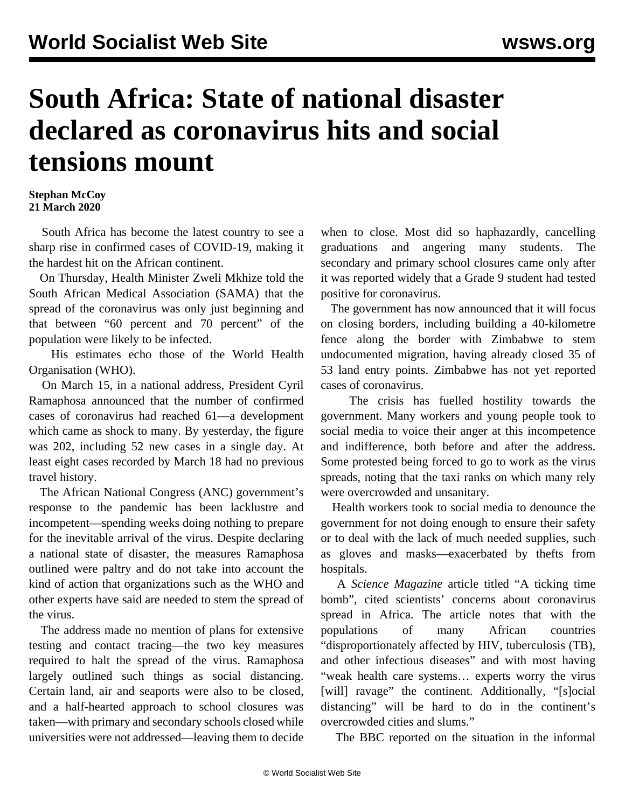## **South Africa: State of national disaster declared as coronavirus hits and social tensions mount**

## **Stephan McCoy 21 March 2020**

 South Africa has become the latest country to see a sharp rise in confirmed cases of COVID-19, making it the hardest hit on the African continent.

 On Thursday, Health Minister Zweli Mkhize told the South African Medical Association (SAMA) that the spread of the coronavirus was only just beginning and that between "60 percent and 70 percent" of the population were likely to be infected.

 His estimates echo those of the World Health Organisation (WHO).

 On March 15, in a national address, President Cyril Ramaphosa announced that the number of confirmed cases of coronavirus had reached 61—a development which came as shock to many. By yesterday, the figure was 202, including 52 new cases in a single day. At least eight cases recorded by March 18 had no previous travel history.

 The African National Congress (ANC) government's response to the pandemic has been lacklustre and incompetent—spending weeks doing nothing to prepare for the inevitable arrival of the virus. Despite declaring a national state of disaster, the measures Ramaphosa outlined were paltry and do not take into account the kind of action that organizations such as the WHO and other experts have said are needed to stem the spread of the virus.

 The address made no mention of plans for extensive testing and contact tracing—the two key measures required to halt the spread of the virus. Ramaphosa largely outlined such things as social distancing. Certain land, air and seaports were also to be closed, and a half-hearted approach to school closures was taken—with primary and secondary schools closed while universities were not addressed—leaving them to decide when to close. Most did so haphazardly, cancelling graduations and angering many students. The secondary and primary school closures came only after it was reported widely that a Grade 9 student had tested positive for coronavirus.

 The government has now announced that it will focus on closing borders, including building a 40-kilometre fence along the border with Zimbabwe to stem undocumented migration, having already closed 35 of 53 land entry points. Zimbabwe has not yet reported cases of coronavirus.

 The crisis has fuelled hostility towards the government. Many workers and young people took to social media to voice their anger at this incompetence and indifference, both before and after the address. Some protested being forced to go to work as the virus spreads, noting that the taxi ranks on which many rely were overcrowded and unsanitary.

 Health workers took to social media to denounce the government for not doing enough to ensure their safety or to deal with the lack of much needed supplies, such as gloves and masks—exacerbated by thefts from hospitals.

 A *Science Magazine* article titled "A ticking time bomb", cited scientists' concerns about coronavirus spread in Africa. The article notes that with the populations of many African countries "disproportionately affected by HIV, tuberculosis (TB), and other infectious diseases" and with most having "weak health care systems… experts worry the virus [will] ravage" the continent. Additionally, "[s]ocial distancing" will be hard to do in the continent's overcrowded cities and slums."

The BBC reported on the situation in the informal